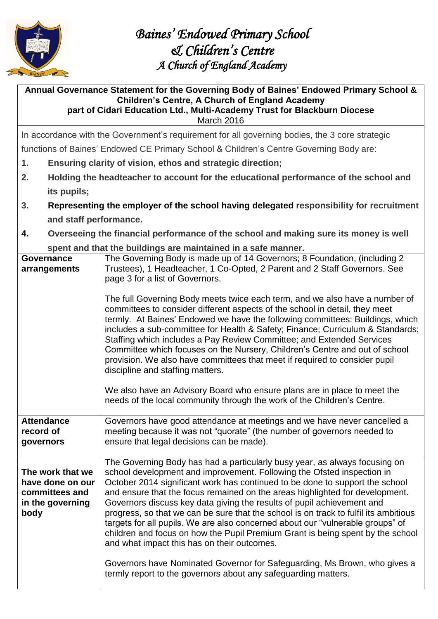

**Annual Governance Statement for the Governing Body of Baines' Endowed Primary School & Children's Centre, A Church of England Academy part of Cidari Education Ltd., Multi-Academy Trust for Blackburn Diocese**  March 2016

In accordance with the Government's requirement for all governing bodies, the 3 core strategic

functions of Baines' Endowed CE Primary School & Children's Centre Governing Body are:

- **1. Ensuring clarity of vision, ethos and strategic direction;**
- **2. Holding the headteacher to account for the educational performance of the school and its pupils;**
- **3. Representing the employer of the school having delegated responsibility for recruitment and staff performance.**
- **4. Overseeing the financial performance of the school and making sure its money is well spent and that the buildings are maintained in a safe manner.**

|                                                                                    | opont and that the bandings are manitumed in a sale manifer.                                                                                                                                                                                                                                                                                                                                                                                                                                                                                                                                                                                                                                                                                                                                                                                                                     |
|------------------------------------------------------------------------------------|----------------------------------------------------------------------------------------------------------------------------------------------------------------------------------------------------------------------------------------------------------------------------------------------------------------------------------------------------------------------------------------------------------------------------------------------------------------------------------------------------------------------------------------------------------------------------------------------------------------------------------------------------------------------------------------------------------------------------------------------------------------------------------------------------------------------------------------------------------------------------------|
| Governance<br>arrangements                                                         | The Governing Body is made up of 14 Governors; 8 Foundation, (including 2<br>Trustees), 1 Headteacher, 1 Co-Opted, 2 Parent and 2 Staff Governors. See<br>page 3 for a list of Governors.<br>The full Governing Body meets twice each term, and we also have a number of<br>committees to consider different aspects of the school in detail, they meet<br>termly. At Baines' Endowed we have the following committees: Buildings, which<br>includes a sub-committee for Health & Safety; Finance; Curriculum & Standards;<br>Staffing which includes a Pay Review Committee; and Extended Services<br>Committee which focuses on the Nursery, Children's Centre and out of school<br>provision. We also have committees that meet if required to consider pupil<br>discipline and staffing matters.<br>We also have an Advisory Board who ensure plans are in place to meet the |
|                                                                                    | needs of the local community through the work of the Children's Centre.                                                                                                                                                                                                                                                                                                                                                                                                                                                                                                                                                                                                                                                                                                                                                                                                          |
| <b>Attendance</b><br>record of<br>governors                                        | Governors have good attendance at meetings and we have never cancelled a<br>meeting because it was not "quorate" (the number of governors needed to<br>ensure that legal decisions can be made).                                                                                                                                                                                                                                                                                                                                                                                                                                                                                                                                                                                                                                                                                 |
| The work that we<br>have done on our<br>committees and<br>in the governing<br>body | The Governing Body has had a particularly busy year, as always focusing on<br>school development and improvement. Following the Ofsted inspection in<br>October 2014 significant work has continued to be done to support the school<br>and ensure that the focus remained on the areas highlighted for development.<br>Governors discuss key data giving the results of pupil achievement and<br>progress, so that we can be sure that the school is on track to fulfil its ambitious<br>targets for all pupils. We are also concerned about our "vulnerable groups" of<br>children and focus on how the Pupil Premium Grant is being spent by the school<br>and what impact this has on their outcomes.                                                                                                                                                                        |
|                                                                                    | Governors have Nominated Governor for Safeguarding, Ms Brown, who gives a<br>termly report to the governors about any safeguarding matters.                                                                                                                                                                                                                                                                                                                                                                                                                                                                                                                                                                                                                                                                                                                                      |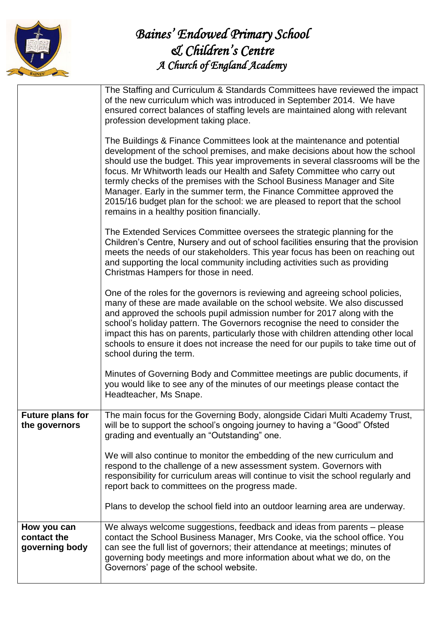

|                                              | The Staffing and Curriculum & Standards Committees have reviewed the impact<br>of the new curriculum which was introduced in September 2014. We have<br>ensured correct balances of staffing levels are maintained along with relevant<br>profession development taking place.                                                                                                                                                                                                                                                                                                                          |
|----------------------------------------------|---------------------------------------------------------------------------------------------------------------------------------------------------------------------------------------------------------------------------------------------------------------------------------------------------------------------------------------------------------------------------------------------------------------------------------------------------------------------------------------------------------------------------------------------------------------------------------------------------------|
|                                              | The Buildings & Finance Committees look at the maintenance and potential<br>development of the school premises, and make decisions about how the school<br>should use the budget. This year improvements in several classrooms will be the<br>focus. Mr Whitworth leads our Health and Safety Committee who carry out<br>termly checks of the premises with the School Business Manager and Site<br>Manager. Early in the summer term, the Finance Committee approved the<br>2015/16 budget plan for the school: we are pleased to report that the school<br>remains in a healthy position financially. |
|                                              | The Extended Services Committee oversees the strategic planning for the<br>Children's Centre, Nursery and out of school facilities ensuring that the provision<br>meets the needs of our stakeholders. This year focus has been on reaching out<br>and supporting the local community including activities such as providing<br>Christmas Hampers for those in need.                                                                                                                                                                                                                                    |
|                                              | One of the roles for the governors is reviewing and agreeing school policies,<br>many of these are made available on the school website. We also discussed<br>and approved the schools pupil admission number for 2017 along with the<br>school's holiday pattern. The Governors recognise the need to consider the<br>impact this has on parents, particularly those with children attending other local<br>schools to ensure it does not increase the need for our pupils to take time out of<br>school during the term.                                                                              |
|                                              | Minutes of Governing Body and Committee meetings are public documents, if<br>you would like to see any of the minutes of our meetings please contact the<br>Headteacher, Ms Snape.                                                                                                                                                                                                                                                                                                                                                                                                                      |
| <b>Future plans for</b><br>the governors     | The main focus for the Governing Body, alongside Cidari Multi Academy Trust,<br>will be to support the school's ongoing journey to having a "Good" Ofsted<br>grading and eventually an "Outstanding" one.                                                                                                                                                                                                                                                                                                                                                                                               |
|                                              | We will also continue to monitor the embedding of the new curriculum and<br>respond to the challenge of a new assessment system. Governors with<br>responsibility for curriculum areas will continue to visit the school regularly and<br>report back to committees on the progress made.                                                                                                                                                                                                                                                                                                               |
|                                              | Plans to develop the school field into an outdoor learning area are underway.                                                                                                                                                                                                                                                                                                                                                                                                                                                                                                                           |
| How you can<br>contact the<br>governing body | We always welcome suggestions, feedback and ideas from parents – please<br>contact the School Business Manager, Mrs Cooke, via the school office. You<br>can see the full list of governors; their attendance at meetings; minutes of<br>governing body meetings and more information about what we do, on the<br>Governors' page of the school website.                                                                                                                                                                                                                                                |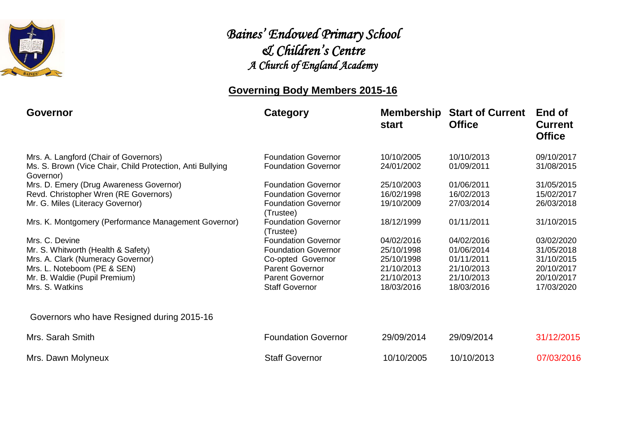

## **Governing Body Members 2015-16**

| <b>Governor</b>                                                        | Category                                | <b>Membership</b><br><b>start</b> | <b>Start of Current</b><br><b>Office</b> | End of<br><b>Current</b><br><b>Office</b> |
|------------------------------------------------------------------------|-----------------------------------------|-----------------------------------|------------------------------------------|-------------------------------------------|
| Mrs. A. Langford (Chair of Governors)                                  | <b>Foundation Governor</b>              | 10/10/2005                        | 10/10/2013                               | 09/10/2017                                |
| Ms. S. Brown (Vice Chair, Child Protection, Anti Bullying<br>Governor) | <b>Foundation Governor</b>              | 24/01/2002                        | 01/09/2011                               | 31/08/2015                                |
| Mrs. D. Emery (Drug Awareness Governor)                                | <b>Foundation Governor</b>              | 25/10/2003                        | 01/06/2011                               | 31/05/2015                                |
| Revd. Christopher Wren (RE Governors)                                  | <b>Foundation Governor</b>              | 16/02/1998                        | 16/02/2013                               | 15/02/2017                                |
| Mr. G. Miles (Literacy Governor)                                       | <b>Foundation Governor</b><br>(Trustee) | 19/10/2009                        | 27/03/2014                               | 26/03/2018                                |
| Mrs. K. Montgomery (Performance Management Governor)                   | <b>Foundation Governor</b><br>(Trustee) | 18/12/1999                        | 01/11/2011                               | 31/10/2015                                |
| Mrs. C. Devine                                                         | <b>Foundation Governor</b>              | 04/02/2016                        | 04/02/2016                               | 03/02/2020                                |
| Mr. S. Whitworth (Health & Safety)                                     | <b>Foundation Governor</b>              | 25/10/1998                        | 01/06/2014                               | 31/05/2018                                |
| Mrs. A. Clark (Numeracy Governor)                                      | Co-opted Governor                       | 25/10/1998                        | 01/11/2011                               | 31/10/2015                                |
| Mrs. L. Noteboom (PE & SEN)                                            | <b>Parent Governor</b>                  | 21/10/2013                        | 21/10/2013                               | 20/10/2017                                |
| Mr. B. Waldie (Pupil Premium)                                          | <b>Parent Governor</b>                  | 21/10/2013                        | 21/10/2013                               | 20/10/2017                                |
| Mrs. S. Watkins                                                        | <b>Staff Governor</b>                   | 18/03/2016                        | 18/03/2016                               | 17/03/2020                                |
| Governors who have Resigned during 2015-16                             |                                         |                                   |                                          |                                           |
| Mrs. Sarah Smith                                                       | <b>Foundation Governor</b>              | 29/09/2014                        | 29/09/2014                               | 31/12/2015                                |
| Mrs. Dawn Molyneux                                                     | <b>Staff Governor</b>                   | 10/10/2005                        | 10/10/2013                               | 07/03/2016                                |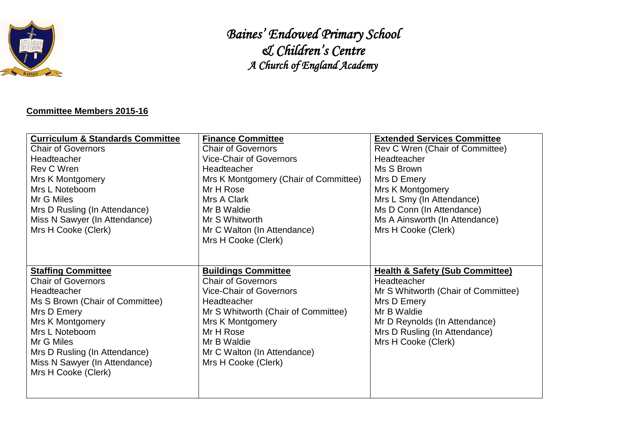

## **Committee Members 2015-16**

| <b>Curriculum &amp; Standards Committee</b> | <b>Finance Committee</b>              | <b>Extended Services Committee</b>         |
|---------------------------------------------|---------------------------------------|--------------------------------------------|
| <b>Chair of Governors</b>                   | <b>Chair of Governors</b>             | Rev C Wren (Chair of Committee)            |
| Headteacher                                 | <b>Vice-Chair of Governors</b>        | <b>Headteacher</b>                         |
| Rev C Wren                                  | Headteacher                           | Ms S Brown                                 |
| Mrs K Montgomery                            | Mrs K Montgomery (Chair of Committee) | Mrs D Emery                                |
| Mrs L Noteboom                              | Mr H Rose                             | <b>Mrs K Montgomery</b>                    |
| Mr G Miles                                  | Mrs A Clark                           | Mrs L Smy (In Attendance)                  |
| Mrs D Rusling (In Attendance)               | Mr B Waldie                           | Ms D Conn (In Attendance)                  |
| Miss N Sawyer (In Attendance)               | Mr S Whitworth                        | Ms A Ainsworth (In Attendance)             |
| Mrs H Cooke (Clerk)                         | Mr C Walton (In Attendance)           | Mrs H Cooke (Clerk)                        |
|                                             | Mrs H Cooke (Clerk)                   |                                            |
|                                             |                                       |                                            |
|                                             |                                       |                                            |
| <b>Staffing Committee</b>                   | <b>Buildings Committee</b>            | <b>Health &amp; Safety (Sub Committee)</b> |
|                                             |                                       |                                            |
| <b>Chair of Governors</b>                   | <b>Chair of Governors</b>             | Headteacher                                |
| Headteacher                                 | <b>Vice-Chair of Governors</b>        | Mr S Whitworth (Chair of Committee)        |
| Ms S Brown (Chair of Committee)             | Headteacher                           | Mrs D Emery                                |
| Mrs D Emery                                 | Mr S Whitworth (Chair of Committee)   | Mr B Waldie                                |
| <b>Mrs K Montgomery</b>                     | Mrs K Montgomery                      | Mr D Reynolds (In Attendance)              |
| Mrs L Noteboom                              | Mr H Rose                             | Mrs D Rusling (In Attendance)              |
| Mr G Miles                                  | Mr B Waldie                           | Mrs H Cooke (Clerk)                        |
| Mrs D Rusling (In Attendance)               | Mr C Walton (In Attendance)           |                                            |
| Miss N Sawyer (In Attendance)               | Mrs H Cooke (Clerk)                   |                                            |
| Mrs H Cooke (Clerk)                         |                                       |                                            |
|                                             |                                       |                                            |